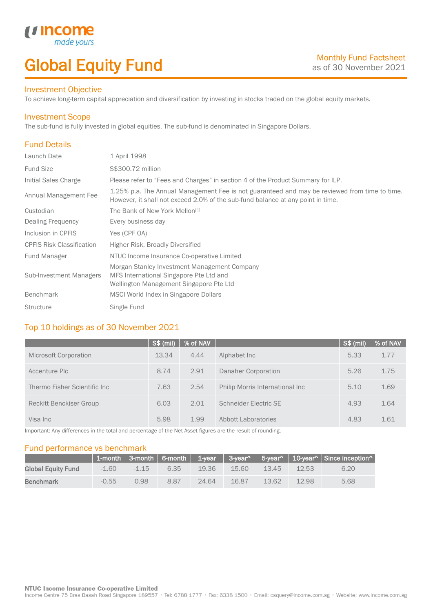## Global Equity Fund

### Investment Objective

made y

*u* incom

To achieve long-term capital appreciation and diversification by investing in stocks traded on the global equity markets.

### Investment Scope

The sub-fund is fully invested in global equities. The sub-fund is denominated in Singapore Dollars.

## Fund Details

I

| Launch Date                      | 1 April 1998                                                                                                                                                                     |
|----------------------------------|----------------------------------------------------------------------------------------------------------------------------------------------------------------------------------|
| <b>Fund Size</b>                 | S\$300.72 million                                                                                                                                                                |
| Initial Sales Charge             | Please refer to "Fees and Charges" in section 4 of the Product Summary for ILP.                                                                                                  |
| Annual Management Fee            | 1.25% p.a. The Annual Management Fee is not guaranteed and may be reviewed from time to time.<br>However, it shall not exceed 2.0% of the sub-fund balance at any point in time. |
| Custodian                        | The Bank of New York Mellon <sup>[1]</sup>                                                                                                                                       |
| Dealing Frequency                | Every business day                                                                                                                                                               |
| Inclusion in CPFIS               | Yes (CPF OA)                                                                                                                                                                     |
| <b>CPFIS Risk Classification</b> | Higher Risk, Broadly Diversified                                                                                                                                                 |
| <b>Fund Manager</b>              | NTUC Income Insurance Co-operative Limited                                                                                                                                       |
| <b>Sub-Investment Managers</b>   | Morgan Stanley Investment Management Company<br>MFS International Singapore Pte Ltd and<br>Wellington Management Singapore Pte Ltd                                               |
| <b>Benchmark</b>                 | MSCI World Index in Singapore Dollars                                                                                                                                            |
| <b>Structure</b>                 | Single Fund                                                                                                                                                                      |

## Top 10 holdings as of 30 November 2021

|                                | $S$ \$ (mil) | % of NAV |                                 | $S$ \$ (mil) | % of NAV |
|--------------------------------|--------------|----------|---------------------------------|--------------|----------|
| Microsoft Corporation          | 13.34        | 4.44     | Alphabet Inc                    | 5.33         | 1.77     |
| Accenture Plc                  | 8.74         | 2.91     | Danaher Corporation             | 5.26         | 1.75     |
| Thermo Fisher Scientific Inc   | 7.63         | 2.54     | Philip Morris International Inc | 5.10         | 1.69     |
| <b>Reckitt Benckiser Group</b> | 6.03         | 2.01     | Schneider Electric SE           | 4.93         | 1.64     |
| Visa Inc                       | 5.98         | 1.99     | Abbott Laboratories             | 4.83         | 1.61     |

Important: Any differences in the total and percentage of the Net Asset figures are the result of rounding.

### Fund performance vs benchmark

|                           |         |         |      |       |       |       |       | 1-month   3-month   6-month   1-year   3-year^   5-year^   10-year^   Since inception^ |
|---------------------------|---------|---------|------|-------|-------|-------|-------|----------------------------------------------------------------------------------------|
| <b>Global Equity Fund</b> | $-1.60$ | $-1.15$ | 6.35 | 19.36 | 15.60 | 13.45 | 12.53 | 6.20                                                                                   |
| <b>Benchmark</b>          | $-0.55$ | 0.98    | 8.87 | 24.64 | 16.87 | 13.62 | 12.98 | 5.68                                                                                   |

#### **NTUC Income Insurance Co-operative Limited**

Income Centre 75 Bras Basah Road Singapore 189557 · Tel: 6788 1777 · Fax: 6338 1500 · Email: csquery@income.com.sg · Website: www.income.com.sg